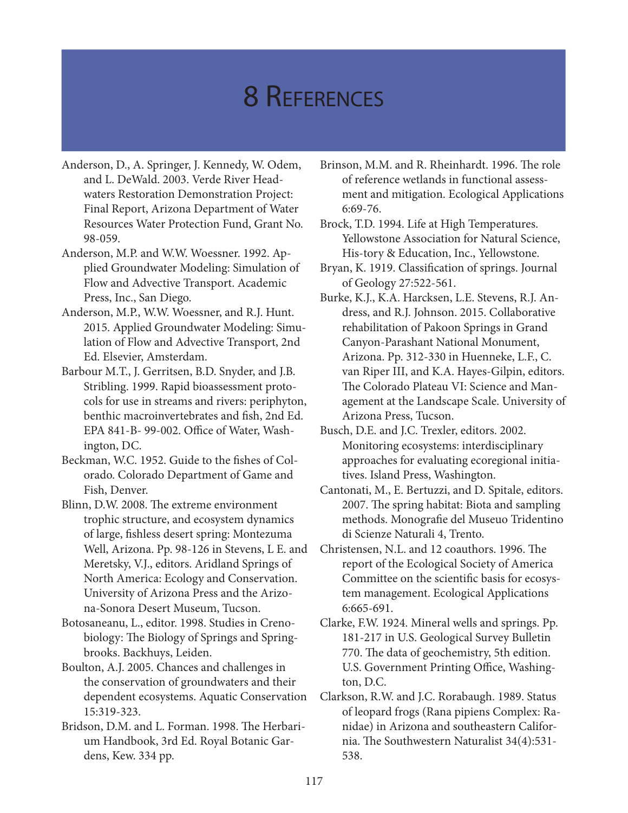## 8 References

- Anderson, D., A. Springer, J. Kennedy, W. Odem, and L. DeWald. 2003. Verde River Headwaters Restoration Demonstration Project: Final Report, Arizona Department of Water Resources Water Protection Fund, Grant No. 98-059.
- Anderson, M.P. and W.W. Woessner. 1992. Applied Groundwater Modeling: Simulation of Flow and Advective Transport. Academic Press, Inc., San Diego.
- Anderson, M.P., W.W. Woessner, and R.J. Hunt. 2015. Applied Groundwater Modeling: Simulation of Flow and Advective Transport, 2nd Ed. Elsevier, Amsterdam.
- Barbour M.T., J. Gerritsen, B.D. Snyder, and J.B. Stribling. 1999. Rapid bioassessment protocols for use in streams and rivers: periphyton, benthic macroinvertebrates and fish, 2nd Ed. EPA 841-B- 99-002. Office of Water, Washington, DC.
- Beckman, W.C. 1952. Guide to the fishes of Colorado. Colorado Department of Game and Fish, Denver.
- Blinn, D.W. 2008. The extreme environment trophic structure, and ecosystem dynamics of large, fishless desert spring: Montezuma Well, Arizona. Pp. 98-126 in Stevens, L E. and Meretsky, V.J., editors. Aridland Springs of North America: Ecology and Conservation. University of Arizona Press and the Arizona-Sonora Desert Museum, Tucson.
- Botosaneanu, L., editor. 1998. Studies in Crenobiology: The Biology of Springs and Springbrooks. Backhuys, Leiden.
- Boulton, A.J. 2005. Chances and challenges in the conservation of groundwaters and their dependent ecosystems. Aquatic Conservation 15:319-323.
- Bridson, D.M. and L. Forman. 1998. The Herbarium Handbook, 3rd Ed. Royal Botanic Gardens, Kew. 334 pp.
- Brinson, M.M. and R. Rheinhardt. 1996. The role of reference wetlands in functional assessment and mitigation. Ecological Applications 6:69-76.
- Brock, T.D. 1994. Life at High Temperatures. Yellowstone Association for Natural Science, His-tory & Education, Inc., Yellowstone.
- Bryan, K. 1919. Classification of springs. Journal of Geology 27:522-561.
- Burke, K.J., K.A. Harcksen, L.E. Stevens, R.J. Andress, and R.J. Johnson. 2015. Collaborative rehabilitation of Pakoon Springs in Grand Canyon-Parashant National Monument, Arizona. Pp. 312-330 in Huenneke, L.F., C. van Riper III, and K.A. Hayes-Gilpin, editors. The Colorado Plateau VI: Science and Management at the Landscape Scale. University of Arizona Press, Tucson.
- Busch, D.E. and J.C. Trexler, editors. 2002. Monitoring ecosystems: interdisciplinary approaches for evaluating ecoregional initiatives. Island Press, Washington.
- Cantonati, M., E. Bertuzzi, and D. Spitale, editors. 2007. The spring habitat: Biota and sampling methods. Monografie del Museuo Tridentino di Scienze Naturali 4, Trento.
- Christensen, N.L. and 12 coauthors. 1996. The report of the Ecological Society of America Committee on the scientific basis for ecosystem management. Ecological Applications 6:665-691.
- Clarke, F.W. 1924. Mineral wells and springs. Pp. 181-217 in U.S. Geological Survey Bulletin 770. The data of geochemistry, 5th edition. U.S. Government Printing Office, Washington, D.C.
- Clarkson, R.W. and J.C. Rorabaugh. 1989. Status of leopard frogs (Rana pipiens Complex: Ranidae) in Arizona and southeastern California. The Southwestern Naturalist 34(4):531- 538.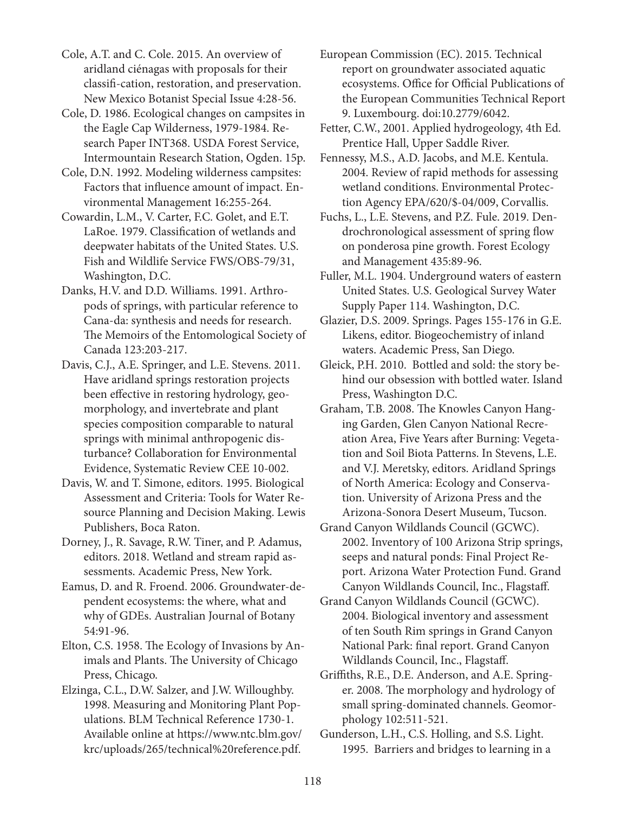Cole, A.T. and C. Cole. 2015. An overview of aridland ciénagas with proposals for their classifi-cation, restoration, and preservation. New Mexico Botanist Special Issue 4:28-56.

Cole, D. 1986. Ecological changes on campsites in the Eagle Cap Wilderness, 1979-1984. Research Paper INT368. USDA Forest Service, Intermountain Research Station, Ogden. 15p.

Cole, D.N. 1992. Modeling wilderness campsites: Factors that influence amount of impact. Environmental Management 16:255-264.

Cowardin, L.M., V. Carter, F.C. Golet, and E.T. LaRoe. 1979. Classification of wetlands and deepwater habitats of the United States. U.S. Fish and Wildlife Service FWS/OBS-79/31, Washington, D.C.

Danks, H.V. and D.D. Williams. 1991. Arthropods of springs, with particular reference to Cana-da: synthesis and needs for research. The Memoirs of the Entomological Society of Canada 123:203-217.

Davis, C.J., A.E. Springer, and L.E. Stevens. 2011. Have aridland springs restoration projects been effective in restoring hydrology, geomorphology, and invertebrate and plant species composition comparable to natural springs with minimal anthropogenic disturbance? Collaboration for Environmental Evidence, Systematic Review CEE 10-002.

Davis, W. and T. Simone, editors. 1995. Biological Assessment and Criteria: Tools for Water Resource Planning and Decision Making. Lewis Publishers, Boca Raton.

Dorney, J., R. Savage, R.W. Tiner, and P. Adamus, editors. 2018. Wetland and stream rapid assessments. Academic Press, New York.

Eamus, D. and R. Froend. 2006. Groundwater-dependent ecosystems: the where, what and why of GDEs. Australian Journal of Botany 54:91-96.

Elton, C.S. 1958. The Ecology of Invasions by Animals and Plants. The University of Chicago Press, Chicago.

Elzinga, C.L., D.W. Salzer, and J.W. Willoughby. 1998. Measuring and Monitoring Plant Populations. BLM Technical Reference 1730-1. Available online at https://www.ntc.blm.gov/ krc/uploads/265/technical%20reference.pdf.

European Commission (EC). 2015. Technical report on groundwater associated aquatic ecosystems. Office for Official Publications of the European Communities Technical Report 9. Luxembourg. doi:10.2779/6042.

Fetter, C.W., 2001. Applied hydrogeology, 4th Ed. Prentice Hall, Upper Saddle River.

Fennessy, M.S., A.D. Jacobs, and M.E. Kentula. 2004. Review of rapid methods for assessing wetland conditions. Environmental Protection Agency EPA/620/\$-04/009, Corvallis.

Fuchs, L., L.E. Stevens, and P.Z. Fule. 2019. Dendrochronological assessment of spring flow on ponderosa pine growth. Forest Ecology and Management 435:89-96.

Fuller, M.L. 1904. Underground waters of eastern United States. U.S. Geological Survey Water Supply Paper 114. Washington, D.C.

Glazier, D.S. 2009. Springs. Pages 155-176 in G.E. Likens, editor. Biogeochemistry of inland waters. Academic Press, San Diego.

Gleick, P.H. 2010. Bottled and sold: the story behind our obsession with bottled water. Island Press, Washington D.C.

Graham, T.B. 2008. The Knowles Canyon Hanging Garden, Glen Canyon National Recreation Area, Five Years after Burning: Vegetation and Soil Biota Patterns. In Stevens, L.E. and V.J. Meretsky, editors. Aridland Springs of North America: Ecology and Conservation. University of Arizona Press and the Arizona-Sonora Desert Museum, Tucson.

Grand Canyon Wildlands Council (GCWC). 2002. Inventory of 100 Arizona Strip springs, seeps and natural ponds: Final Project Report. Arizona Water Protection Fund. Grand Canyon Wildlands Council, Inc., Flagstaff.

Grand Canyon Wildlands Council (GCWC). 2004. Biological inventory and assessment of ten South Rim springs in Grand Canyon National Park: final report. Grand Canyon Wildlands Council, Inc., Flagstaff.

Griffiths, R.E., D.E. Anderson, and A.E. Springer. 2008. The morphology and hydrology of small spring-dominated channels. Geomorphology 102:511-521.

Gunderson, L.H., C.S. Holling, and S.S. Light. 1995. Barriers and bridges to learning in a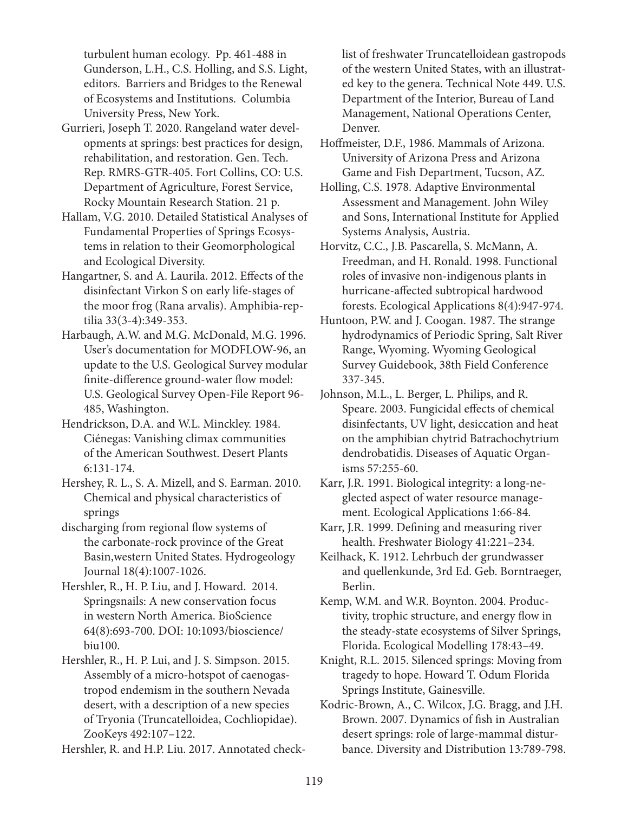turbulent human ecology. Pp. 461-488 in Gunderson, L.H., C.S. Holling, and S.S. Light, editors. Barriers and Bridges to the Renewal of Ecosystems and Institutions. Columbia University Press, New York.

- Gurrieri, Joseph T. 2020. Rangeland water developments at springs: best practices for design, rehabilitation, and restoration. Gen. Tech. Rep. RMRS-GTR-405. Fort Collins, CO: U.S. Department of Agriculture, Forest Service, Rocky Mountain Research Station. 21 p.
- Hallam, V.G. 2010. Detailed Statistical Analyses of Fundamental Properties of Springs Ecosystems in relation to their Geomorphological and Ecological Diversity.
- Hangartner, S. and A. Laurila. 2012. Effects of the disinfectant Virkon S on early life-stages of the moor frog (Rana arvalis). Amphibia-reptilia 33(3-4):349-353.
- Harbaugh, A.W. and M.G. McDonald, M.G. 1996. User's documentation for MODFLOW-96, an update to the U.S. Geological Survey modular finite-difference ground-water flow model: U.S. Geological Survey Open-File Report 96- 485, Washington.
- Hendrickson, D.A. and W.L. Minckley. 1984. Ciénegas: Vanishing climax communities of the American Southwest. Desert Plants 6:131-174.
- Hershey, R. L., S. A. Mizell, and S. Earman. 2010. Chemical and physical characteristics of springs
- discharging from regional flow systems of the carbonate-rock province of the Great Basin,western United States. Hydrogeology Journal 18(4):1007-1026.
- Hershler, R., H. P. Liu, and J. Howard. 2014. Springsnails: A new conservation focus in western North America. BioScience 64(8):693-700. DOI: 10:1093/bioscience/ biu100.
- Hershler, R., H. P. Lui, and J. S. Simpson. 2015. Assembly of a micro-hotspot of caenogastropod endemism in the southern Nevada desert, with a description of a new species of Tryonia (Truncatelloidea, Cochliopidae). ZooKeys 492:107–122.
- Hershler, R. and H.P. Liu. 2017. Annotated check-

list of freshwater Truncatelloidean gastropods of the western United States, with an illustrated key to the genera. Technical Note 449. U.S. Department of the Interior, Bureau of Land Management, National Operations Center, Denver.

- Hoffmeister, D.F., 1986. Mammals of Arizona. University of Arizona Press and Arizona Game and Fish Department, Tucson, AZ.
- Holling, C.S. 1978. Adaptive Environmental Assessment and Management. John Wiley and Sons, International Institute for Applied Systems Analysis, Austria.
- Horvitz, C.C., J.B. Pascarella, S. McMann, A. Freedman, and H. Ronald. 1998. Functional roles of invasive non‐indigenous plants in hurricane‐affected subtropical hardwood forests. Ecological Applications 8(4):947-974.
- Huntoon, P.W. and J. Coogan. 1987. The strange hydrodynamics of Periodic Spring, Salt River Range, Wyoming. Wyoming Geological Survey Guidebook, 38th Field Conference 337-345.
- Johnson, M.L., L. Berger, L. Philips, and R. Speare. 2003. Fungicidal effects of chemical disinfectants, UV light, desiccation and heat on the amphibian chytrid Batrachochytrium dendrobatidis. Diseases of Aquatic Organisms 57:255-60.
- Karr, J.R. 1991. Biological integrity: a long-neglected aspect of water resource management. Ecological Applications 1:66-84.
- Karr, J.R. 1999. Defining and measuring river health. Freshwater Biology 41:221–234.
- Keilhack, K. 1912. Lehrbuch der grundwasser and quellenkunde, 3rd Ed. Geb. Borntraeger, Berlin.
- Kemp, W.M. and W.R. Boynton. 2004. Productivity, trophic structure, and energy flow in the steady-state ecosystems of Silver Springs, Florida. Ecological Modelling 178:43–49.
- Knight, R.L. 2015. Silenced springs: Moving from tragedy to hope. Howard T. Odum Florida Springs Institute, Gainesville.
- Kodric-Brown, A., C. Wilcox, J.G. Bragg, and J.H. Brown. 2007. Dynamics of fish in Australian desert springs: role of large-mammal disturbance. Diversity and Distribution 13:789-798.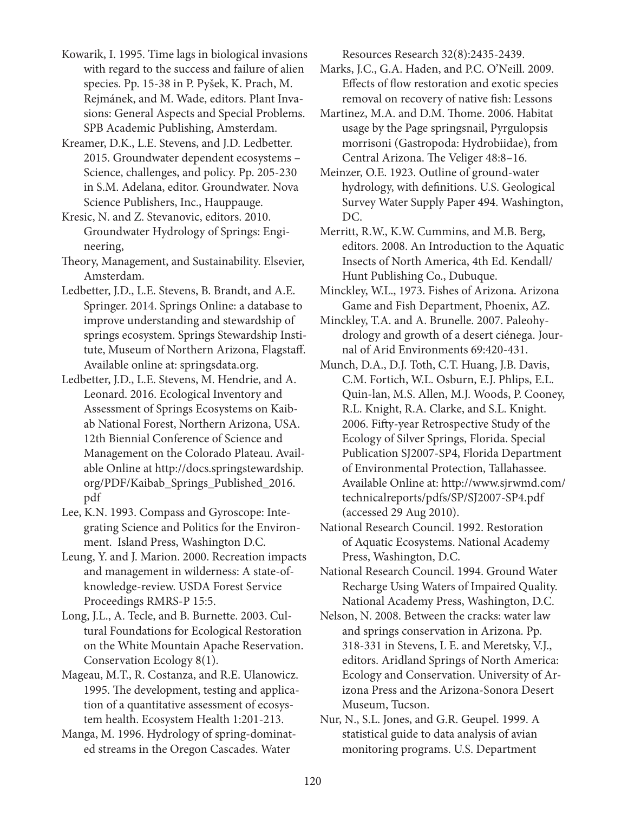Kowarik, I. 1995. Time lags in biological invasions with regard to the success and failure of alien species. Pp. 15-38 in P. Pyšek, K. Prach, M. Rejmánek, and M. Wade, editors. Plant Invasions: General Aspects and Special Problems. SPB Academic Publishing, Amsterdam.

Kreamer, D.K., L.E. Stevens, and J.D. Ledbetter. 2015. Groundwater dependent ecosystems – Science, challenges, and policy. Pp. 205-230 in S.M. Adelana, editor. Groundwater. Nova Science Publishers, Inc., Hauppauge.

Kresic, N. and Z. Stevanovic, editors. 2010. Groundwater Hydrology of Springs: Engineering,

Theory, Management, and Sustainability. Elsevier, Amsterdam.

Ledbetter, J.D., L.E. Stevens, B. Brandt, and A.E. Springer. 2014. Springs Online: a database to improve understanding and stewardship of springs ecosystem. Springs Stewardship Institute, Museum of Northern Arizona, Flagstaff. Available online at: springsdata.org.

Ledbetter, J.D., L.E. Stevens, M. Hendrie, and A. Leonard. 2016. Ecological Inventory and Assessment of Springs Ecosystems on Kaibab National Forest, Northern Arizona, USA. 12th Biennial Conference of Science and Management on the Colorado Plateau. Available Online at http://docs.springstewardship. org/PDF/Kaibab\_Springs\_Published\_2016. pdf

Lee, K.N. 1993. Compass and Gyroscope: Integrating Science and Politics for the Environment. Island Press, Washington D.C.

Leung, Y. and J. Marion. 2000. Recreation impacts and management in wilderness: A state-ofknowledge-review. USDA Forest Service Proceedings RMRS-P 15:5.

Long, J.L., A. Tecle, and B. Burnette. 2003. Cultural Foundations for Ecological Restoration on the White Mountain Apache Reservation. Conservation Ecology 8(1).

Mageau, M.T., R. Costanza, and R.E. Ulanowicz. 1995. The development, testing and application of a quantitative assessment of ecosystem health. Ecosystem Health 1:201-213.

Manga, M. 1996. Hydrology of spring-dominated streams in the Oregon Cascades. Water

Resources Research 32(8):2435-2439.

Marks, J.C., G.A. Haden, and P.C. O'Neill. 2009. Effects of flow restoration and exotic species removal on recovery of native fish: Lessons

Martinez, M.A. and D.M. Thome. 2006. Habitat usage by the Page springsnail, Pyrgulopsis morrisoni (Gastropoda: Hydrobiidae), from Central Arizona. The Veliger 48:8–16.

Meinzer, O.E. 1923. Outline of ground-water hydrology, with definitions. U.S. Geological Survey Water Supply Paper 494. Washington, DC.

Merritt, R.W., K.W. Cummins, and M.B. Berg, editors. 2008. An Introduction to the Aquatic Insects of North America, 4th Ed. Kendall/ Hunt Publishing Co., Dubuque.

Minckley, W.L., 1973. Fishes of Arizona. Arizona Game and Fish Department, Phoenix, AZ.

Minckley, T.A. and A. Brunelle. 2007. Paleohydrology and growth of a desert ciénega. Journal of Arid Environments 69:420-431.

Munch, D.A., D.J. Toth, C.T. Huang, J.B. Davis, C.M. Fortich, W.L. Osburn, E.J. Phlips, E.L. Quin-lan, M.S. Allen, M.J. Woods, P. Cooney, R.L. Knight, R.A. Clarke, and S.L. Knight. 2006. Fifty-year Retrospective Study of the Ecology of Silver Springs, Florida. Special Publication SJ2007-SP4, Florida Department of Environmental Protection, Tallahassee. Available Online at: http://www.sjrwmd.com/ technicalreports/pdfs/SP/SJ2007-SP4.pdf (accessed 29 Aug 2010).

National Research Council. 1992. Restoration of Aquatic Ecosystems. National Academy Press, Washington, D.C.

National Research Council. 1994. Ground Water Recharge Using Waters of Impaired Quality. National Academy Press, Washington, D.C.

Nelson, N. 2008. Between the cracks: water law and springs conservation in Arizona. Pp. 318-331 in Stevens, L E. and Meretsky, V.J., editors. Aridland Springs of North America: Ecology and Conservation. University of Arizona Press and the Arizona-Sonora Desert Museum, Tucson.

Nur, N., S.L. Jones, and G.R. Geupel. 1999. A statistical guide to data analysis of avian monitoring programs. U.S. Department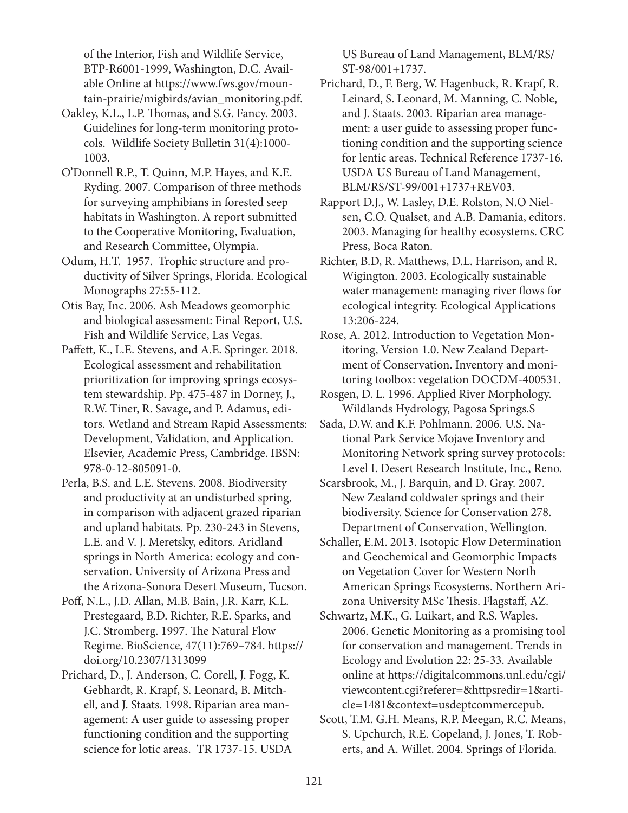of the Interior, Fish and Wildlife Service, BTP-R6001-1999, Washington, D.C. Available Online at https://www.fws.gov/mountain-prairie/migbirds/avian\_monitoring.pdf.

- Oakley, K.L., L.P. Thomas, and S.G. Fancy. 2003. Guidelines for long-term monitoring protocols. Wildlife Society Bulletin 31(4):1000- 1003.
- O'Donnell R.P., T. Quinn, M.P. Hayes, and K.E. Ryding. 2007. Comparison of three methods for surveying amphibians in forested seep habitats in Washington. A report submitted to the Cooperative Monitoring, Evaluation, and Research Committee, Olympia.
- Odum, H.T. 1957. Trophic structure and productivity of Silver Springs, Florida. Ecological Monographs 27:55-112.
- Otis Bay, Inc. 2006. Ash Meadows geomorphic and biological assessment: Final Report, U.S. Fish and Wildlife Service, Las Vegas.
- Paffett, K., L.E. Stevens, and A.E. Springer. 2018. Ecological assessment and rehabilitation prioritization for improving springs ecosystem stewardship. Pp. 475-487 in Dorney, J., R.W. Tiner, R. Savage, and P. Adamus, editors. Wetland and Stream Rapid Assessments: Development, Validation, and Application. Elsevier, Academic Press, Cambridge. IBSN: 978-0-12-805091-0.
- Perla, B.S. and L.E. Stevens. 2008. Biodiversity and productivity at an undisturbed spring, in comparison with adjacent grazed riparian and upland habitats. Pp. 230-243 in Stevens, L.E. and V. J. Meretsky, editors. Aridland springs in North America: ecology and conservation. University of Arizona Press and the Arizona-Sonora Desert Museum, Tucson.
- Poff, N.L., J.D. Allan, M.B. Bain, J.R. Karr, K.L. Prestegaard, B.D. Richter, R.E. Sparks, and J.C. Stromberg. 1997. The Natural Flow Regime. BioScience, 47(11):769–784. https:// doi.org/10.2307/1313099

Prichard, D., J. Anderson, C. Corell, J. Fogg, K. Gebhardt, R. Krapf, S. Leonard, B. Mitchell, and J. Staats. 1998. Riparian area management: A user guide to assessing proper functioning condition and the supporting science for lotic areas. TR 1737-15. USDA US Bureau of Land Management, BLM/RS/ ST-98/001+1737.

- Prichard, D., F. Berg, W. Hagenbuck, R. Krapf, R. Leinard, S. Leonard, M. Manning, C. Noble, and J. Staats. 2003. Riparian area management: a user guide to assessing proper functioning condition and the supporting science for lentic areas. Technical Reference 1737-16. USDA US Bureau of Land Management, BLM/RS/ST-99/001+1737+REV03.
- Rapport D.J., W. Lasley, D.E. Rolston, N.O Nielsen, C.O. Qualset, and A.B. Damania, editors. 2003. Managing for healthy ecosystems. CRC Press, Boca Raton.
- Richter, B.D, R. Matthews, D.L. Harrison, and R. Wigington. 2003. Ecologically sustainable water management: managing river flows for ecological integrity. Ecological Applications 13:206-224.
- Rose, A. 2012. Introduction to Vegetation Monitoring, Version 1.0. New Zealand Department of Conservation. Inventory and monitoring toolbox: vegetation DOCDM-400531.
- Rosgen, D. L. 1996. Applied River Morphology. Wildlands Hydrology, Pagosa Springs.S
- Sada, D.W. and K.F. Pohlmann. 2006. U.S. National Park Service Mojave Inventory and Monitoring Network spring survey protocols: Level I. Desert Research Institute, Inc., Reno.
- Scarsbrook, M., J. Barquin, and D. Gray. 2007. New Zealand coldwater springs and their biodiversity. Science for Conservation 278. Department of Conservation, Wellington.
- Schaller, E.M. 2013. Isotopic Flow Determination and Geochemical and Geomorphic Impacts on Vegetation Cover for Western North American Springs Ecosystems. Northern Arizona University MSc Thesis. Flagstaff, AZ.
- Schwartz, M.K., G. Luikart, and R.S. Waples. 2006. Genetic Monitoring as a promising tool for conservation and management. Trends in Ecology and Evolution 22: 25-33. Available online at https://digitalcommons.unl.edu/cgi/ viewcontent.cgi?referer=&httpsredir=1&article=1481&context=usdeptcommercepub.
- Scott, T.M. G.H. Means, R.P. Meegan, R.C. Means, S. Upchurch, R.E. Copeland, J. Jones, T. Roberts, and A. Willet. 2004. Springs of Florida.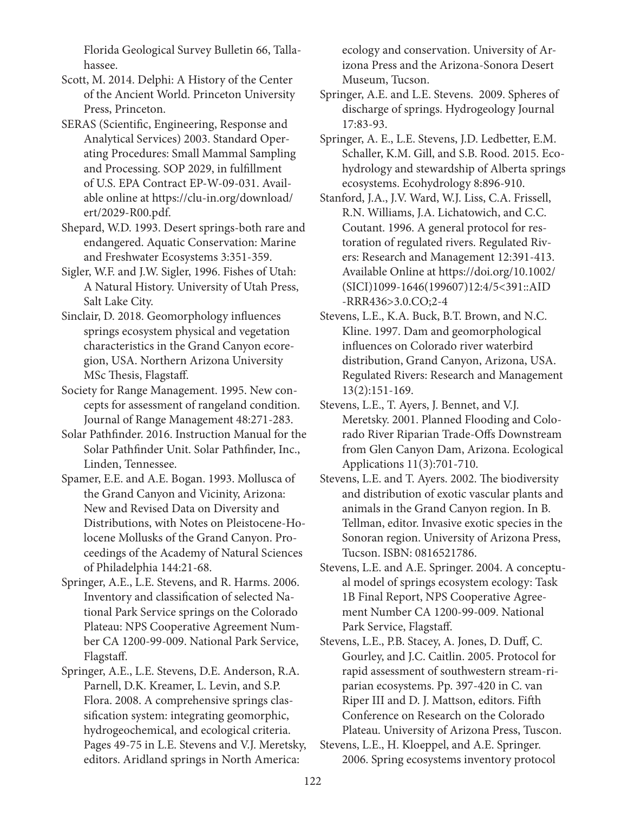Florida Geological Survey Bulletin 66, Tallahassee.

Scott, M. 2014. Delphi: A History of the Center of the Ancient World. Princeton University Press, Princeton.

SERAS (Scientific, Engineering, Response and Analytical Services) 2003. Standard Operating Procedures: Small Mammal Sampling and Processing. SOP 2029, in fulfillment of U.S. EPA Contract EP-W-09-031. Available online at https://clu-in.org/download/ ert/2029-R00.pdf.

Shepard, W.D. 1993. Desert springs-both rare and endangered. Aquatic Conservation: Marine and Freshwater Ecosystems 3:351-359.

Sigler, W.F. and J.W. Sigler, 1996. Fishes of Utah: A Natural History. University of Utah Press, Salt Lake City.

Sinclair, D. 2018. Geomorphology influences springs ecosystem physical and vegetation characteristics in the Grand Canyon ecoregion, USA. Northern Arizona University MSc Thesis, Flagstaff.

Society for Range Management. 1995. New concepts for assessment of rangeland condition. Journal of Range Management 48:271-283.

Solar Pathfinder. 2016. Instruction Manual for the Solar Pathfinder Unit. Solar Pathfinder, Inc., Linden, Tennessee.

Spamer, E.E. and A.E. Bogan. 1993. Mollusca of the Grand Canyon and Vicinity, Arizona: New and Revised Data on Diversity and Distributions, with Notes on Pleistocene-Holocene Mollusks of the Grand Canyon. Proceedings of the Academy of Natural Sciences of Philadelphia 144:21-68.

Springer, A.E., L.E. Stevens, and R. Harms. 2006. Inventory and classification of selected National Park Service springs on the Colorado Plateau: NPS Cooperative Agreement Number CA 1200-99-009. National Park Service, Flagstaff.

Springer, A.E., L.E. Stevens, D.E. Anderson, R.A. Parnell, D.K. Kreamer, L. Levin, and S.P. Flora. 2008. A comprehensive springs classification system: integrating geomorphic, hydrogeochemical, and ecological criteria. Pages 49-75 in L.E. Stevens and V.J. Meretsky, editors. Aridland springs in North America:

ecology and conservation. University of Arizona Press and the Arizona-Sonora Desert Museum, Tucson.

Springer, A.E. and L.E. Stevens. 2009. Spheres of discharge of springs. Hydrogeology Journal 17:83-93.

Springer, A. E., L.E. Stevens, J.D. Ledbetter, E.M. Schaller, K.M. Gill, and S.B. Rood. 2015. Ecohydrology and stewardship of Alberta springs ecosystems. Ecohydrology 8:896-910.

Stanford, J.A., J.V. Ward, W.J. Liss, C.A. Frissell, R.N. Williams, J.A. Lichatowich, and C.C. Coutant. 1996. A general protocol for restoration of regulated rivers. Regulated Rivers: Research and Management 12:391-413. Available Online at https://doi.org/10.1002/ (SICI)1099-1646(199607)12:4/5<391::AID -RRR436>3.0.CO;2-4

Stevens, L.E., K.A. Buck, B.T. Brown, and N.C. Kline. 1997. Dam and geomorphological influences on Colorado river waterbird distribution, Grand Canyon, Arizona, USA. Regulated Rivers: Research and Management 13(2):151-169.

Stevens, L.E., T. Ayers, J. Bennet, and V.J. Meretsky. 2001. Planned Flooding and Colorado River Riparian Trade-Offs Downstream from Glen Canyon Dam, Arizona. Ecological Applications 11(3):701-710.

Stevens, L.E. and T. Ayers. 2002. The biodiversity and distribution of exotic vascular plants and animals in the Grand Canyon region. In B. Tellman, editor. Invasive exotic species in the Sonoran region. University of Arizona Press, Tucson. ISBN: 0816521786.

Stevens, L.E. and A.E. Springer. 2004. A conceptual model of springs ecosystem ecology: Task 1B Final Report, NPS Cooperative Agreement Number CA 1200-99-009. National Park Service, Flagstaff.

Stevens, L.E., P.B. Stacey, A. Jones, D. Duff, C. Gourley, and J.C. Caitlin. 2005. Protocol for rapid assessment of southwestern stream-riparian ecosystems. Pp. 397-420 in C. van Riper III and D. J. Mattson, editors. Fifth Conference on Research on the Colorado Plateau. University of Arizona Press, Tuscon.

Stevens, L.E., H. Kloeppel, and A.E. Springer. 2006. Spring ecosystems inventory protocol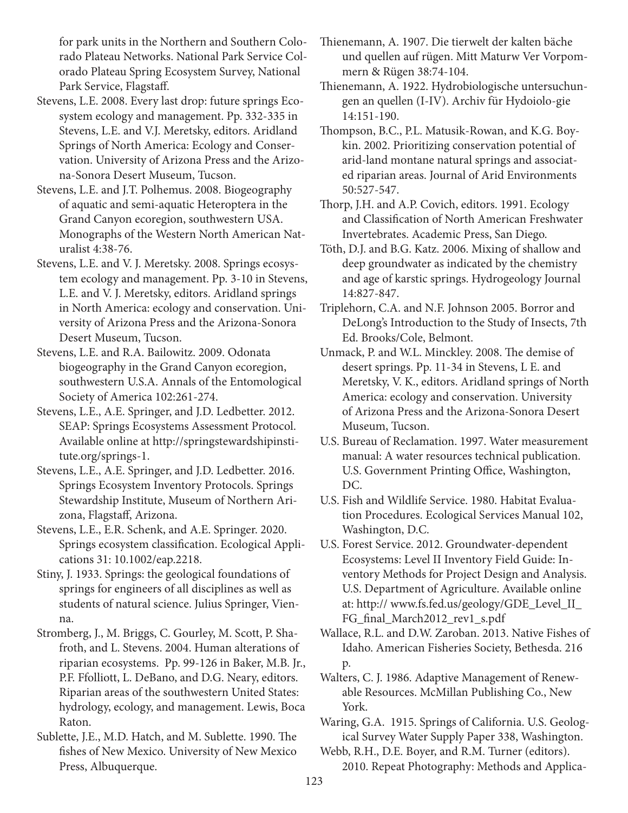for park units in the Northern and Southern Colorado Plateau Networks. National Park Service Colorado Plateau Spring Ecosystem Survey, National Park Service, Flagstaff.

Stevens, L.E. 2008. Every last drop: future springs Ecosystem ecology and management. Pp. 332-335 in Stevens, L.E. and V.J. Meretsky, editors. Aridland Springs of North America: Ecology and Conservation. University of Arizona Press and the Arizona-Sonora Desert Museum, Tucson.

Stevens, L.E. and J.T. Polhemus. 2008. Biogeography of aquatic and semi-aquatic Heteroptera in the Grand Canyon ecoregion, southwestern USA. Monographs of the Western North American Naturalist 4:38-76.

Stevens, L.E. and V. J. Meretsky. 2008. Springs ecosystem ecology and management. Pp. 3-10 in Stevens, L.E. and V. J. Meretsky, editors. Aridland springs in North America: ecology and conservation. University of Arizona Press and the Arizona-Sonora Desert Museum, Tucson.

Stevens, L.E. and R.A. Bailowitz. 2009. Odonata biogeography in the Grand Canyon ecoregion, southwestern U.S.A. Annals of the Entomological Society of America 102:261-274.

Stevens, L.E., A.E. Springer, and J.D. Ledbetter. 2012. SEAP: Springs Ecosystems Assessment Protocol. Available online at http://springstewardshipinstitute.org/springs-1.

Stevens, L.E., A.E. Springer, and J.D. Ledbetter. 2016. Springs Ecosystem Inventory Protocols. Springs Stewardship Institute, Museum of Northern Arizona, Flagstaff, Arizona.

Stevens, L.E., E.R. Schenk, and A.E. Springer. 2020. Springs ecosystem classification. Ecological Applications 31: 10.1002/eap.2218.

Stiny, J. 1933. Springs: the geological foundations of springs for engineers of all disciplines as well as students of natural science. Julius Springer, Vienna.

Stromberg, J., M. Briggs, C. Gourley, M. Scott, P. Shafroth, and L. Stevens. 2004. Human alterations of riparian ecosystems. Pp. 99-126 in Baker, M.B. Jr., P.F. Ffolliott, L. DeBano, and D.G. Neary, editors. Riparian areas of the southwestern United States: hydrology, ecology, and management. Lewis, Boca Raton.

Sublette, J.E., M.D. Hatch, and M. Sublette. 1990. The fishes of New Mexico. University of New Mexico Press, Albuquerque.

Thienemann, A. 1907. Die tierwelt der kalten bäche und quellen auf rügen. Mitt Maturw Ver Vorpommern & Rügen 38:74-104.

Thienemann, A. 1922. Hydrobiologische untersuchungen an quellen (I-IV). Archiv für Hydoiolo-gie 14:151-190.

Thompson, B.C., P.L. Matusik-Rowan, and K.G. Boykin. 2002. Prioritizing conservation potential of arid-land montane natural springs and associated riparian areas. Journal of Arid Environments 50:527-547.

Thorp, J.H. and A.P. Covich, editors. 1991. Ecology and Classification of North American Freshwater Invertebrates. Academic Press, San Diego.

Töth, D.J. and B.G. Katz. 2006. Mixing of shallow and deep groundwater as indicated by the chemistry and age of karstic springs. Hydrogeology Journal 14:827-847.

Triplehorn, C.A. and N.F. Johnson 2005. Borror and DeLong's Introduction to the Study of Insects, 7th Ed. Brooks/Cole, Belmont.

Unmack, P. and W.L. Minckley. 2008. The demise of desert springs. Pp. 11-34 in Stevens, L E. and Meretsky, V. K., editors. Aridland springs of North America: ecology and conservation. University of Arizona Press and the Arizona-Sonora Desert Museum, Tucson.

U.S. Bureau of Reclamation. 1997. Water measurement manual: A water resources technical publication. U.S. Government Printing Office, Washington, DC.

U.S. Fish and Wildlife Service. 1980. Habitat Evaluation Procedures. Ecological Services Manual 102, Washington, D.C.

U.S. Forest Service. 2012. Groundwater-dependent Ecosystems: Level II Inventory Field Guide: Inventory Methods for Project Design and Analysis. U.S. Department of Agriculture. Available online at: http:// www.fs.fed.us/geology/GDE\_Level\_II\_ FG\_final\_March2012\_rev1\_s.pdf

Wallace, R.L. and D.W. Zaroban. 2013. Native Fishes of Idaho. American Fisheries Society, Bethesda. 216 p.

Walters, C. J. 1986. Adaptive Management of Renewable Resources. McMillan Publishing Co., New York.

Waring, G.A. 1915. Springs of California. U.S. Geological Survey Water Supply Paper 338, Washington.

Webb, R.H., D.E. Boyer, and R.M. Turner (editors). 2010. Repeat Photography: Methods and Applica